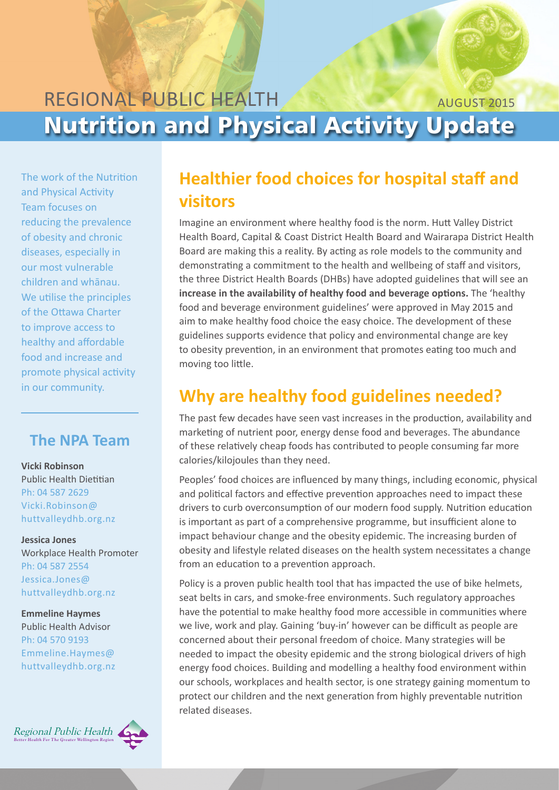#### REGIONAL PUBLIC HEALTH Nutrition and Physical Activity Update august 2015

The work of the Nutrition and Physical Activity Team focuses on reducing the prevalence of obesity and chronic diseases, especially in our most vulnerable children and whānau. We utilise the principles of the Ottawa Charter to improve access to healthy and affordable food and increase and promote physical activity in our community.

### **The NPA Team**

**Vicki Robinson** Public Health Dietitian Ph: 04 587 2629 [Vicki.Robinson@](mailto:vicki.robinson@huttvalleydhb.org.nz) [huttvalleydhb.org.nz](mailto:vicki.robinson@huttvalleydhb.org.nz)

**Jessica Jones** Workplace Health Promoter Ph: 04 587 2554 [Jessica.Jones@](mailto:Jessica.Jones@huttvalleydhb.org.nz) [huttvalleydhb.org.nz](mailto:Jessica.Jones@huttvalleydhb.org.nz) 

**Emmeline Haymes** Public Health Advisor Ph: 04 570 9193 [Emmeline.Haymes@](mailto:Emmeline.Haymes@huttvalleydhb.org.nz) [huttvalleydhb.org.nz](mailto:Emmeline.Haymes@huttvalleydhb.org.nz) 



# **Healthier food choices for hospital staff and visitors**

Imagine an environment where healthy food is the norm. Hutt Valley District Health Board, Capital & Coast District Health Board and Wairarapa District Health Board are making this a reality. By acting as role models to the community and demonstrating a commitment to the health and wellbeing of staff and visitors, the three District Health Boards (DHBs) have adopted guidelines that will see an **increase in the availability of healthy food and beverage options.** The 'healthy food and beverage environment guidelines' were approved in May 2015 and aim to make healthy food choice the easy choice. The development of these guidelines supports evidence that policy and environmental change are key to obesity prevention, in an environment that promotes eating too much and moving too little.

# **Why are healthy food guidelines needed?**

The past few decades have seen vast increases in the production, availability and marketing of nutrient poor, energy dense food and beverages. The abundance of these relatively cheap foods has contributed to people consuming far more calories/kilojoules than they need.

Peoples' food choices are influenced by many things, including economic, physical and political factors and effective prevention approaches need to impact these drivers to curb overconsumption of our modern food supply. Nutrition education is important as part of a comprehensive programme, but insufficient alone to impact behaviour change and the obesity epidemic. The increasing burden of obesity and lifestyle related diseases on the health system necessitates a change from an education to a prevention approach.

Policy is a proven public health tool that has impacted the use of bike helmets, seat belts in cars, and smoke-free environments. Such regulatory approaches have the potential to make healthy food more accessible in communities where we live, work and play. Gaining 'buy-in' however can be difficult as people are concerned about their personal freedom of choice. Many strategies will be needed to impact the obesity epidemic and the strong biological drivers of high energy food choices. Building and modelling a healthy food environment within our schools, workplaces and health sector, is one strategy gaining momentum to protect our children and the next generation from highly preventable nutrition related diseases.